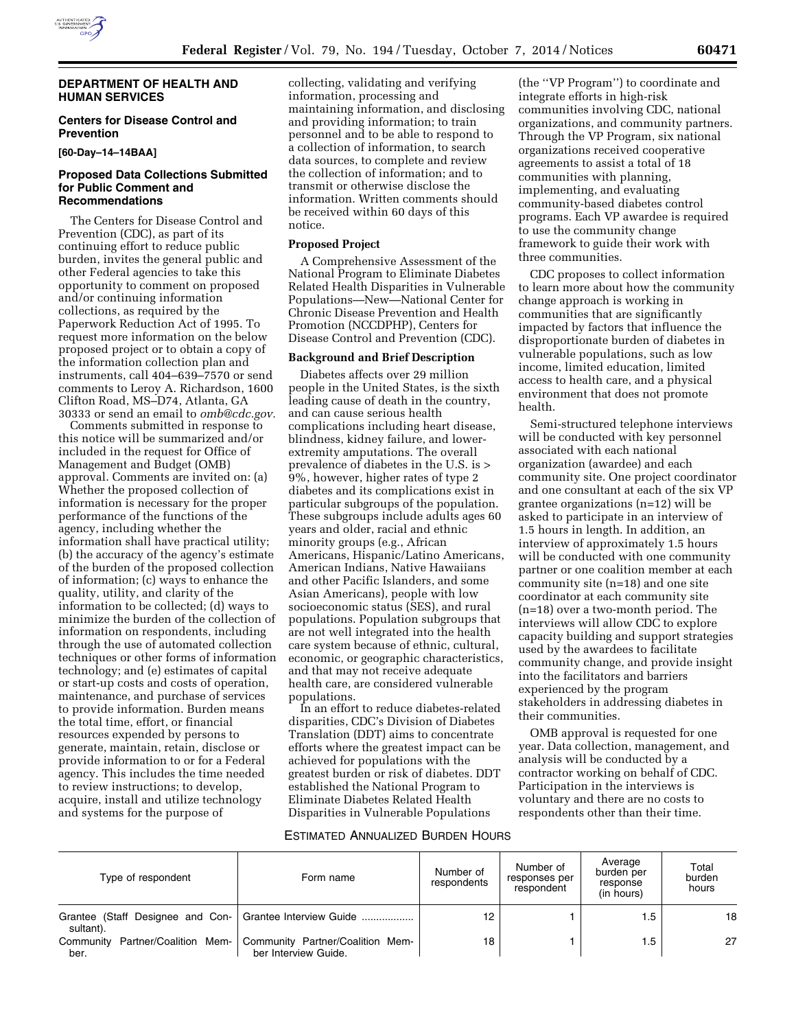

#### **DEPARTMENT OF HEALTH AND HUMAN SERVICES**

## **Centers for Disease Control and Prevention**

**[60-Day–14–14BAA]** 

#### **Proposed Data Collections Submitted for Public Comment and Recommendations**

The Centers for Disease Control and Prevention (CDC), as part of its continuing effort to reduce public burden, invites the general public and other Federal agencies to take this opportunity to comment on proposed and/or continuing information collections, as required by the Paperwork Reduction Act of 1995. To request more information on the below proposed project or to obtain a copy of the information collection plan and instruments, call 404–639–7570 or send comments to Leroy A. Richardson, 1600 Clifton Road, MS–D74, Atlanta, GA 30333 or send an email to *[omb@cdc.gov.](mailto:omb@cdc.gov)* 

Comments submitted in response to this notice will be summarized and/or included in the request for Office of Management and Budget (OMB) approval. Comments are invited on: (a) Whether the proposed collection of information is necessary for the proper performance of the functions of the agency, including whether the information shall have practical utility; (b) the accuracy of the agency's estimate of the burden of the proposed collection of information; (c) ways to enhance the quality, utility, and clarity of the information to be collected; (d) ways to minimize the burden of the collection of information on respondents, including through the use of automated collection techniques or other forms of information technology; and (e) estimates of capital or start-up costs and costs of operation, maintenance, and purchase of services to provide information. Burden means the total time, effort, or financial resources expended by persons to generate, maintain, retain, disclose or provide information to or for a Federal agency. This includes the time needed to review instructions; to develop, acquire, install and utilize technology and systems for the purpose of

collecting, validating and verifying information, processing and maintaining information, and disclosing and providing information; to train personnel and to be able to respond to a collection of information, to search data sources, to complete and review the collection of information; and to transmit or otherwise disclose the information. Written comments should be received within 60 days of this notice.

### **Proposed Project**

A Comprehensive Assessment of the National Program to Eliminate Diabetes Related Health Disparities in Vulnerable Populations—New—National Center for Chronic Disease Prevention and Health Promotion (NCCDPHP), Centers for Disease Control and Prevention (CDC).

### **Background and Brief Description**

Diabetes affects over 29 million people in the United States, is the sixth leading cause of death in the country, and can cause serious health complications including heart disease, blindness, kidney failure, and lowerextremity amputations. The overall prevalence of diabetes in the U.S. is > 9%, however, higher rates of type 2 diabetes and its complications exist in particular subgroups of the population. These subgroups include adults ages 60 years and older, racial and ethnic minority groups (e.g., African Americans, Hispanic/Latino Americans, American Indians, Native Hawaiians and other Pacific Islanders, and some Asian Americans), people with low socioeconomic status (SES), and rural populations. Population subgroups that are not well integrated into the health care system because of ethnic, cultural, economic, or geographic characteristics, and that may not receive adequate health care, are considered vulnerable populations.

In an effort to reduce diabetes-related disparities, CDC's Division of Diabetes Translation (DDT) aims to concentrate efforts where the greatest impact can be achieved for populations with the greatest burden or risk of diabetes. DDT established the National Program to Eliminate Diabetes Related Health Disparities in Vulnerable Populations

(the ''VP Program'') to coordinate and integrate efforts in high-risk communities involving CDC, national organizations, and community partners. Through the VP Program, six national organizations received cooperative agreements to assist a total of 18 communities with planning, implementing, and evaluating community-based diabetes control programs. Each VP awardee is required to use the community change framework to guide their work with three communities.

CDC proposes to collect information to learn more about how the community change approach is working in communities that are significantly impacted by factors that influence the disproportionate burden of diabetes in vulnerable populations, such as low income, limited education, limited access to health care, and a physical environment that does not promote health.

Semi-structured telephone interviews will be conducted with key personnel associated with each national organization (awardee) and each community site. One project coordinator and one consultant at each of the six VP grantee organizations (n=12) will be asked to participate in an interview of 1.5 hours in length. In addition, an interview of approximately 1.5 hours will be conducted with one community partner or one coalition member at each community site (n=18) and one site coordinator at each community site (n=18) over a two-month period. The interviews will allow CDC to explore capacity building and support strategies used by the awardees to facilitate community change, and provide insight into the facilitators and barriers experienced by the program stakeholders in addressing diabetes in their communities.

OMB approval is requested for one year. Data collection, management, and analysis will be conducted by a contractor working on behalf of CDC. Participation in the interviews is voluntary and there are no costs to respondents other than their time.

## ESTIMATED ANNUALIZED BURDEN HOURS

| Type of respondent | Form name                                                                                   | Number of<br>respondents | Number of<br>responses per<br>respondent | Average<br>burden per<br>response<br>(in hours) | Total<br>burden<br>hours |
|--------------------|---------------------------------------------------------------------------------------------|--------------------------|------------------------------------------|-------------------------------------------------|--------------------------|
| sultant).          | Grantee (Staff Designee and Con- Grantee Interview Guide                                    | 12                       |                                          | 5.،                                             | 18                       |
| ber.               | Community Partner/Coalition Mem-   Community Partner/Coalition Mem-<br>ber Interview Guide. | 18                       |                                          | l .5                                            | 27                       |